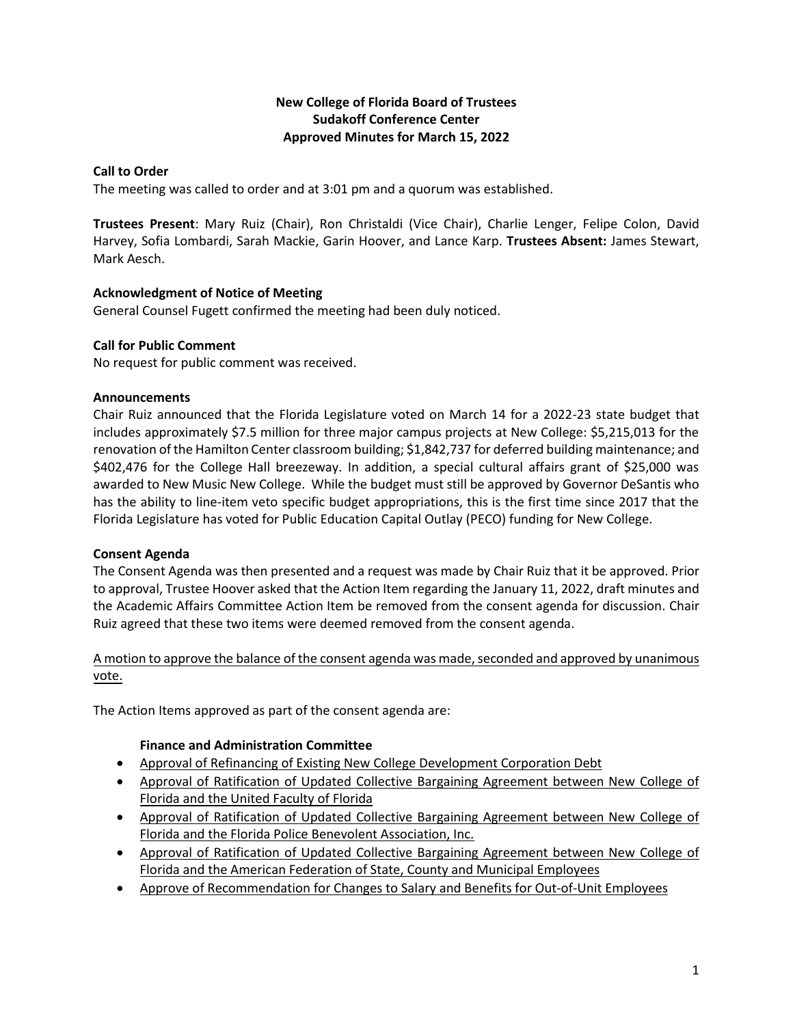# **New College of Florida Board of Trustees Sudakoff Conference Center Approved Minutes for March 15, 2022**

## **Call to Order**

The meeting was called to order and at 3:01 pm and a quorum was established.

**Trustees Present**: Mary Ruiz (Chair), Ron Christaldi (Vice Chair), Charlie Lenger, Felipe Colon, David Harvey, Sofia Lombardi, Sarah Mackie, Garin Hoover, and Lance Karp. **Trustees Absent:** James Stewart, Mark Aesch.

## **Acknowledgment of Notice of Meeting**

General Counsel Fugett confirmed the meeting had been duly noticed.

## **Call for Public Comment**

No request for public comment was received.

#### **Announcements**

Chair Ruiz announced that the Florida Legislature voted on March 14 for a 2022-23 state budget that includes approximately \$7.5 million for three major campus projects at New College: \$5,215,013 for the renovation of the Hamilton Center classroom building; \$1,842,737 for deferred building maintenance; and \$402,476 for the College Hall breezeway. In addition, a special cultural affairs grant of \$25,000 was awarded to New Music New College. While the budget must still be approved by Governor DeSantis who has the ability to line-item veto specific budget appropriations, this is the first time since 2017 that the Florida Legislature has voted for Public Education Capital Outlay (PECO) funding for New College.

#### **Consent Agenda**

The Consent Agenda was then presented and a request was made by Chair Ruiz that it be approved. Prior to approval, Trustee Hoover asked that the Action Item regarding the January 11, 2022, draft minutes and the Academic Affairs Committee Action Item be removed from the consent agenda for discussion. Chair Ruiz agreed that these two items were deemed removed from the consent agenda.

# A motion to approve the balance of the consent agenda was made, seconded and approved by unanimous vote.

The Action Items approved as part of the consent agenda are:

# **Finance and Administration Committee**

- Approval of Refinancing of Existing New College Development Corporation Debt
- Approval of Ratification of Updated Collective Bargaining Agreement between New College of Florida and the United Faculty of Florida
- Approval of Ratification of Updated Collective Bargaining Agreement between New College of Florida and the Florida Police Benevolent Association, Inc.
- Approval of Ratification of Updated Collective Bargaining Agreement between New College of Florida and the American Federation of State, County and Municipal Employees
- **Approve of Recommendation for Changes to Salary and Benefits for Out-of-Unit Employees**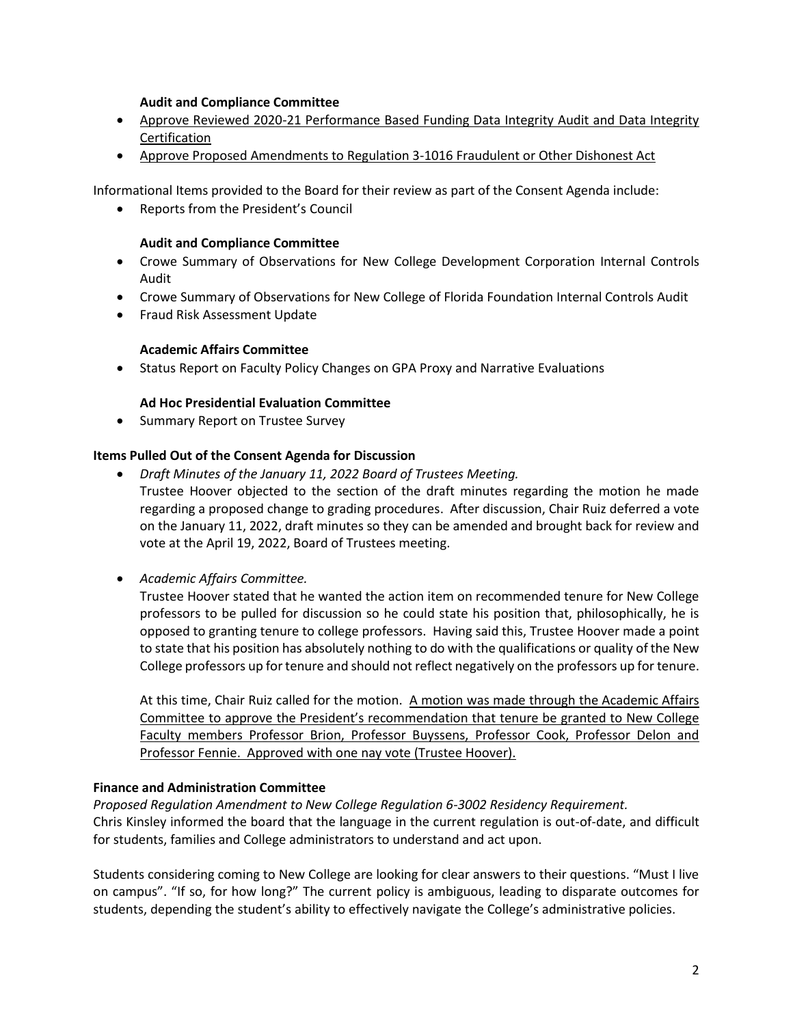#### **Audit and Compliance Committee**

- Approve Reviewed 2020-21 Performance Based Funding Data Integrity Audit and Data Integrity Certification
- Approve Proposed Amendments to Regulation 3-1016 Fraudulent or Other Dishonest Act

Informational Items provided to the Board for their review as part of the Consent Agenda include:

Reports from the President's Council

#### **Audit and Compliance Committee**

- Crowe Summary of Observations for New College Development Corporation Internal Controls Audit
- Crowe Summary of Observations for New College of Florida Foundation Internal Controls Audit
- **•** Fraud Risk Assessment Update

#### **Academic Affairs Committee**

• Status Report on Faculty Policy Changes on GPA Proxy and Narrative Evaluations

## **Ad Hoc Presidential Evaluation Committee**

• Summary Report on Trustee Survey

## **Items Pulled Out of the Consent Agenda for Discussion**

- *Draft Minutes of the January 11, 2022 Board of Trustees Meeting.* 
	- Trustee Hoover objected to the section of the draft minutes regarding the motion he made regarding a proposed change to grading procedures. After discussion, Chair Ruiz deferred a vote on the January 11, 2022, draft minutes so they can be amended and brought back for review and vote at the April 19, 2022, Board of Trustees meeting.
- *Academic Affairs Committee.*

Trustee Hoover stated that he wanted the action item on recommended tenure for New College professors to be pulled for discussion so he could state his position that, philosophically, he is opposed to granting tenure to college professors. Having said this, Trustee Hoover made a point to state that his position has absolutely nothing to do with the qualifications or quality of the New College professors up for tenure and should not reflect negatively on the professors up for tenure.

At this time, Chair Ruiz called for the motion. A motion was made through the Academic Affairs Committee to approve the President's recommendation that tenure be granted to New College Faculty members Professor Brion, Professor Buyssens, Professor Cook, Professor Delon and Professor Fennie. Approved with one nay vote (Trustee Hoover).

#### **Finance and Administration Committee**

#### *Proposed Regulation Amendment to New College Regulation 6-3002 Residency Requirement.*

Chris Kinsley informed the board that the language in the current regulation is out-of-date, and difficult for students, families and College administrators to understand and act upon.

Students considering coming to New College are looking for clear answers to their questions. "Must I live on campus". "If so, for how long?" The current policy is ambiguous, leading to disparate outcomes for students, depending the student's ability to effectively navigate the College's administrative policies.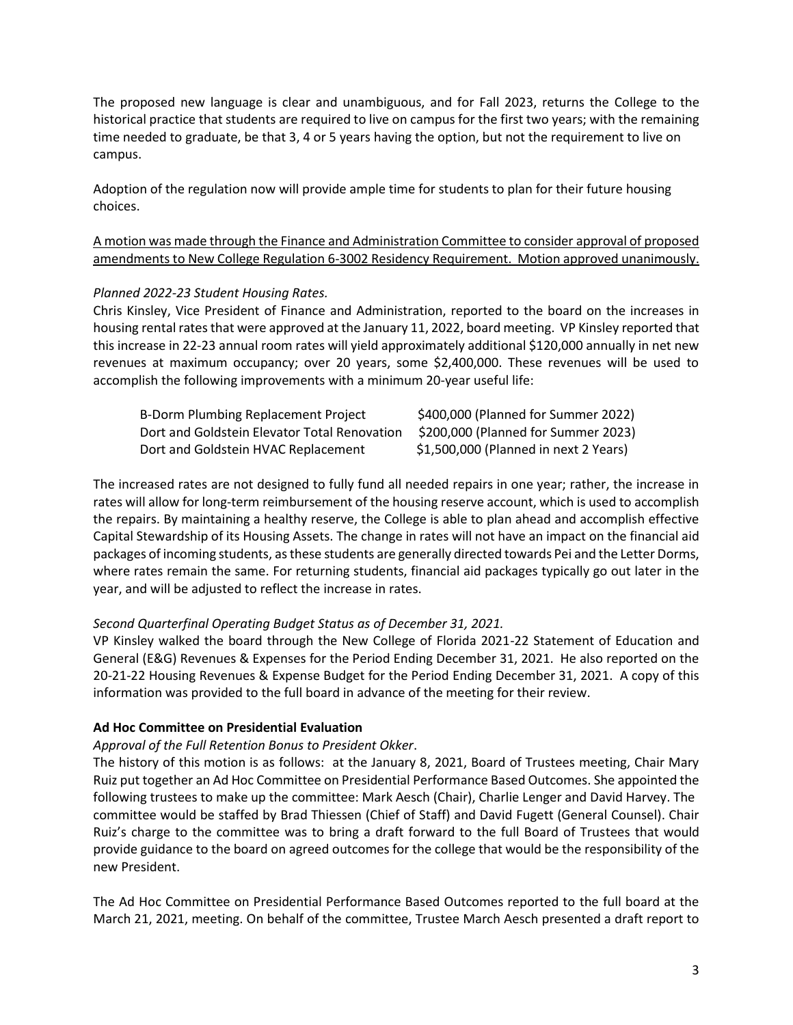The proposed new language is clear and unambiguous, and for Fall 2023, returns the College to the historical practice that students are required to live on campus for the first two years; with the remaining time needed to graduate, be that 3, 4 or 5 years having the option, but not the requirement to live on campus.

Adoption of the regulation now will provide ample time for students to plan for their future housing choices.

A motion was made through the Finance and Administration Committee to consider approval of proposed amendments to New College Regulation 6-3002 Residency Requirement. Motion approved unanimously.

#### *Planned 2022-23 Student Housing Rates.*

Chris Kinsley, Vice President of Finance and Administration, reported to the board on the increases in housing rental rates that were approved at the January 11, 2022, board meeting. VP Kinsley reported that this increase in 22-23 annual room rates will yield approximately additional \$120,000 annually in net new revenues at maximum occupancy; over 20 years, some \$2,400,000. These revenues will be used to accomplish the following improvements with a minimum 20-year useful life:

| <b>B-Dorm Plumbing Replacement Project</b>   | \$400,000 (Planned for Summer 2022)   |
|----------------------------------------------|---------------------------------------|
| Dort and Goldstein Elevator Total Renovation | \$200,000 (Planned for Summer 2023)   |
| Dort and Goldstein HVAC Replacement          | \$1,500,000 (Planned in next 2 Years) |

The increased rates are not designed to fully fund all needed repairs in one year; rather, the increase in rates will allow for long-term reimbursement of the housing reserve account, which is used to accomplish the repairs. By maintaining a healthy reserve, the College is able to plan ahead and accomplish effective Capital Stewardship of its Housing Assets. The change in rates will not have an impact on the financial aid packages of incoming students, as these students are generally directed towards Pei and the Letter Dorms, where rates remain the same. For returning students, financial aid packages typically go out later in the year, and will be adjusted to reflect the increase in rates.

# *Second Quarterfinal Operating Budget Status as of December 31, 2021.*

VP Kinsley walked the board through the New College of Florida 2021-22 Statement of Education and General (E&G) Revenues & Expenses for the Period Ending December 31, 2021. He also reported on the 20-21-22 Housing Revenues & Expense Budget for the Period Ending December 31, 2021. A copy of this information was provided to the full board in advance of the meeting for their review.

#### **Ad Hoc Committee on Presidential Evaluation**

#### *Approval of the Full Retention Bonus to President Okker*.

The history of this motion is as follows: at the January 8, 2021, Board of Trustees meeting, Chair Mary Ruiz put together an Ad Hoc Committee on Presidential Performance Based Outcomes. She appointed the following trustees to make up the committee: Mark Aesch (Chair), Charlie Lenger and David Harvey. The committee would be staffed by Brad Thiessen (Chief of Staff) and David Fugett (General Counsel). Chair Ruiz's charge to the committee was to bring a draft forward to the full Board of Trustees that would provide guidance to the board on agreed outcomes for the college that would be the responsibility of the new President.

The Ad Hoc Committee on Presidential Performance Based Outcomes reported to the full board at the March 21, 2021, meeting. On behalf of the committee, Trustee March Aesch presented a draft report to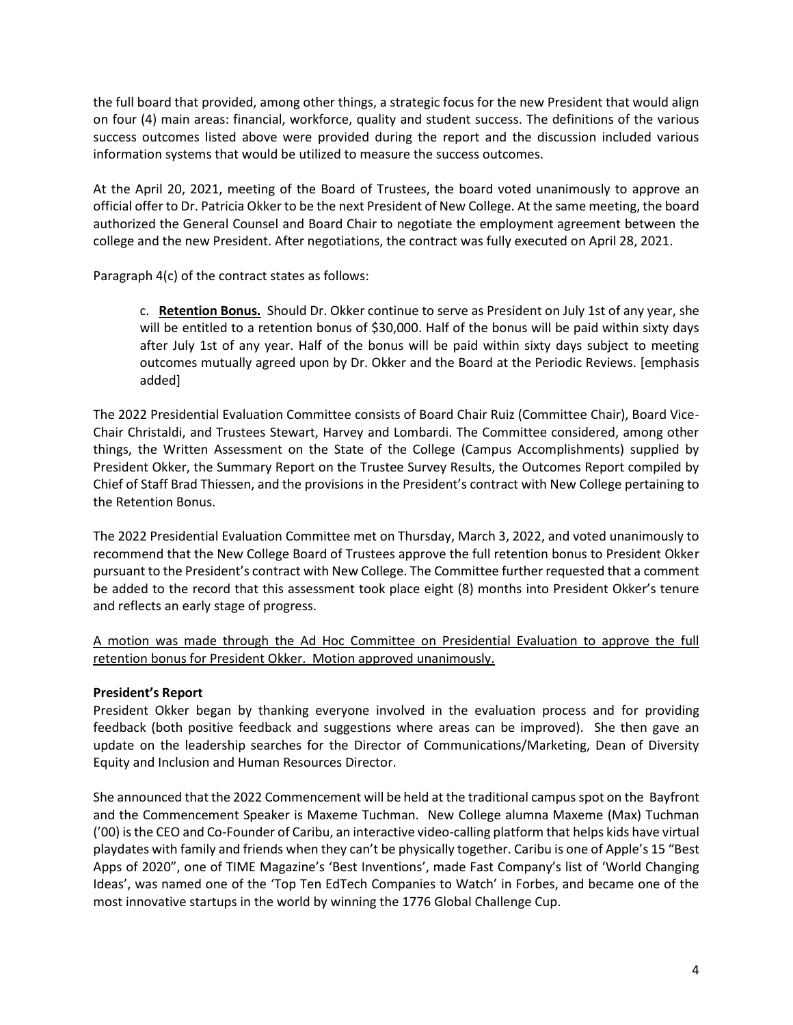the full board that provided, among other things, a strategic focus for the new President that would align on four (4) main areas: financial, workforce, quality and student success. The definitions of the various success outcomes listed above were provided during the report and the discussion included various information systems that would be utilized to measure the success outcomes.

At the April 20, 2021, meeting of the Board of Trustees, the board voted unanimously to approve an official offer to Dr. Patricia Okker to be the next President of New College. At the same meeting, the board authorized the General Counsel and Board Chair to negotiate the employment agreement between the college and the new President. After negotiations, the contract was fully executed on April 28, 2021.

Paragraph 4(c) of the contract states as follows:

c. **Retention Bonus.** Should Dr. Okker continue to serve as President on July 1st of any year, she will be entitled to a retention bonus of \$30,000. Half of the bonus will be paid within sixty days after July 1st of any year. Half of the bonus will be paid within sixty days subject to meeting outcomes mutually agreed upon by Dr. Okker and the Board at the Periodic Reviews. [emphasis added]

The 2022 Presidential Evaluation Committee consists of Board Chair Ruiz (Committee Chair), Board Vice-Chair Christaldi, and Trustees Stewart, Harvey and Lombardi. The Committee considered, among other things, the Written Assessment on the State of the College (Campus Accomplishments) supplied by President Okker, the Summary Report on the Trustee Survey Results, the Outcomes Report compiled by Chief of Staff Brad Thiessen, and the provisions in the President's contract with New College pertaining to the Retention Bonus.

The 2022 Presidential Evaluation Committee met on Thursday, March 3, 2022, and voted unanimously to recommend that the New College Board of Trustees approve the full retention bonus to President Okker pursuant to the President's contract with New College. The Committee further requested that a comment be added to the record that this assessment took place eight (8) months into President Okker's tenure and reflects an early stage of progress.

A motion was made through the Ad Hoc Committee on Presidential Evaluation to approve the full retention bonus for President Okker. Motion approved unanimously.

# **President's Report**

President Okker began by thanking everyone involved in the evaluation process and for providing feedback (both positive feedback and suggestions where areas can be improved). She then gave an update on the leadership searches for the Director of Communications/Marketing, Dean of Diversity Equity and Inclusion and Human Resources Director.

She announced that the 2022 Commencement will be held at the traditional campus spot on the Bayfront and the Commencement Speaker is Maxeme Tuchman. New College alumna Maxeme (Max) Tuchman ('00) is the CEO and Co-Founder of Caribu, an interactive video-calling platform that helps kids have virtual playdates with family and friends when they can't be physically together. Caribu is one of Apple's 15 "Best Apps of 2020", one of TIME Magazine's 'Best Inventions', made Fast Company's list of 'World Changing Ideas', was named one of the 'Top Ten EdTech Companies to Watch' in Forbes, and became one of the most innovative startups in the world by winning the 1776 Global Challenge Cup.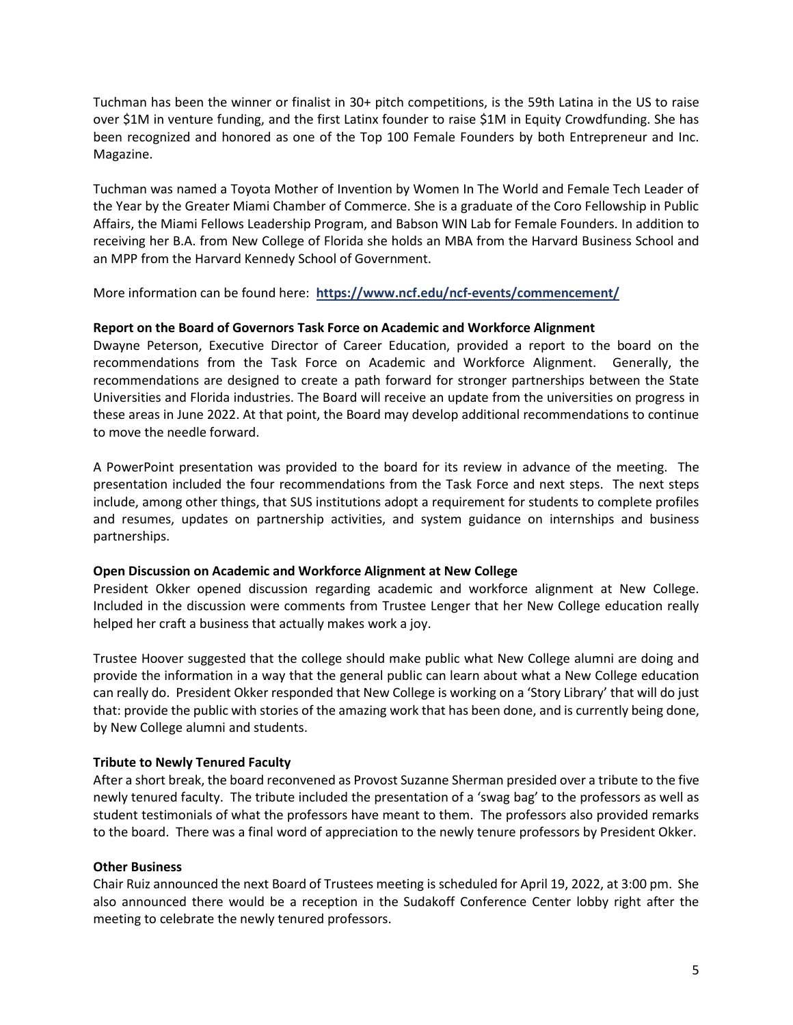Tuchman has been the winner or finalist in 30+ pitch competitions, is the 59th Latina in the US to raise over \$1M in venture funding, and the first Latinx founder to raise \$1M in Equity Crowdfunding. She has been recognized and honored as one of the Top 100 Female Founders by both Entrepreneur and Inc. Magazine.

Tuchman was named a Toyota Mother of Invention by Women In The World and Female Tech Leader of the Year by the Greater Miami Chamber of Commerce. She is a graduate of the Coro Fellowship in Public Affairs, the Miami Fellows Leadership Program, and Babson WIN Lab for Female Founders. In addition to receiving her B.A. from New College of Florida she holds an MBA from the Harvard Business School and an MPP from the Harvard Kennedy School of Government.

More information can be found here: **https://www.ncf.edu/ncf-events/commencement/**

#### **Report on the Board of Governors Task Force on Academic and Workforce Alignment**

Dwayne Peterson, Executive Director of Career Education, provided a report to the board on the recommendations from the Task Force on Academic and Workforce Alignment. Generally, the recommendations are designed to create a path forward for stronger partnerships between the State Universities and Florida industries. The Board will receive an update from the universities on progress in these areas in June 2022. At that point, the Board may develop additional recommendations to continue to move the needle forward.

A PowerPoint presentation was provided to the board for its review in advance of the meeting. The presentation included the four recommendations from the Task Force and next steps. The next steps include, among other things, that SUS institutions adopt a requirement for students to complete profiles and resumes, updates on partnership activities, and system guidance on internships and business partnerships.

#### **Open Discussion on Academic and Workforce Alignment at New College**

President Okker opened discussion regarding academic and workforce alignment at New College. Included in the discussion were comments from Trustee Lenger that her New College education really helped her craft a business that actually makes work a joy.

Trustee Hoover suggested that the college should make public what New College alumni are doing and provide the information in a way that the general public can learn about what a New College education can really do. President Okker responded that New College is working on a 'Story Library' that will do just that: provide the public with stories of the amazing work that has been done, and is currently being done, by New College alumni and students.

#### **Tribute to Newly Tenured Faculty**

After a short break, the board reconvened as Provost Suzanne Sherman presided over a tribute to the five newly tenured faculty. The tribute included the presentation of a 'swag bag' to the professors as well as student testimonials of what the professors have meant to them. The professors also provided remarks to the board. There was a final word of appreciation to the newly tenure professors by President Okker.

#### **Other Business**

Chair Ruiz announced the next Board of Trustees meeting is scheduled for April 19, 2022, at 3:00 pm. She also announced there would be a reception in the Sudakoff Conference Center lobby right after the meeting to celebrate the newly tenured professors.